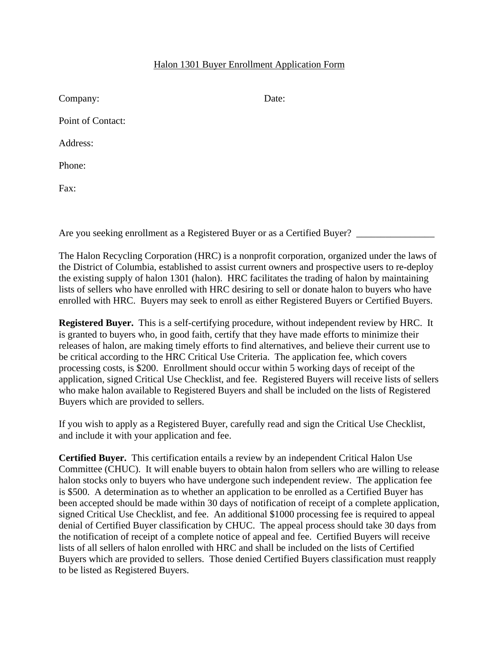## Halon 1301 Buyer Enrollment Application Form

| Company:          | Date: |
|-------------------|-------|
| Point of Contact: |       |
| Address:          |       |
| Phone:            |       |
| Fax:              |       |

Are you seeking enrollment as a Registered Buyer or as a Certified Buyer?

The Halon Recycling Corporation (HRC) is a nonprofit corporation, organized under the laws of the District of Columbia, established to assist current owners and prospective users to re-deploy the existing supply of halon 1301 (halon). HRC facilitates the trading of halon by maintaining lists of sellers who have enrolled with HRC desiring to sell or donate halon to buyers who have enrolled with HRC. Buyers may seek to enroll as either Registered Buyers or Certified Buyers.

**Registered Buyer.** This is a self-certifying procedure, without independent review by HRC. It is granted to buyers who, in good faith, certify that they have made efforts to minimize their releases of halon, are making timely efforts to find alternatives, and believe their current use to be critical according to the HRC Critical Use Criteria. The application fee, which covers processing costs, is \$200. Enrollment should occur within 5 working days of receipt of the application, signed Critical Use Checklist, and fee. Registered Buyers will receive lists of sellers who make halon available to Registered Buyers and shall be included on the lists of Registered Buyers which are provided to sellers.

If you wish to apply as a Registered Buyer, carefully read and sign the Critical Use Checklist, and include it with your application and fee.

**Certified Buyer.** This certification entails a review by an independent Critical Halon Use Committee (CHUC). It will enable buyers to obtain halon from sellers who are willing to release halon stocks only to buyers who have undergone such independent review. The application fee is \$500. A determination as to whether an application to be enrolled as a Certified Buyer has been accepted should be made within 30 days of notification of receipt of a complete application, signed Critical Use Checklist, and fee. An additional \$1000 processing fee is required to appeal denial of Certified Buyer classification by CHUC. The appeal process should take 30 days from the notification of receipt of a complete notice of appeal and fee. Certified Buyers will receive lists of all sellers of halon enrolled with HRC and shall be included on the lists of Certified Buyers which are provided to sellers. Those denied Certified Buyers classification must reapply to be listed as Registered Buyers.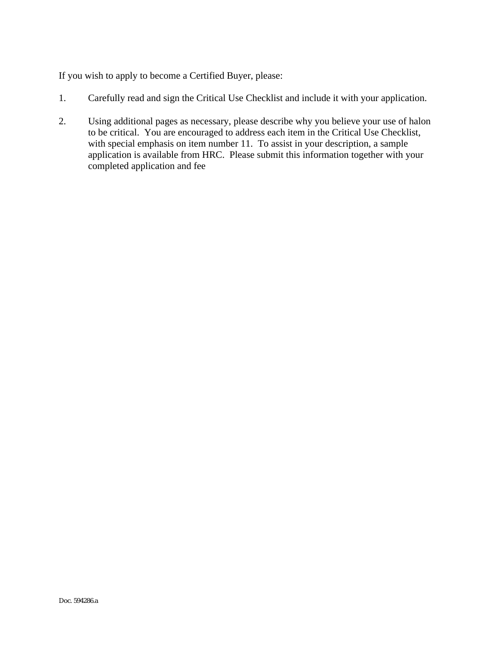If you wish to apply to become a Certified Buyer, please:

- 1. Carefully read and sign the Critical Use Checklist and include it with your application.
- 2. Using additional pages as necessary, please describe why you believe your use of halon to be critical. You are encouraged to address each item in the Critical Use Checklist, with special emphasis on item number 11. To assist in your description, a sample application is available from HRC. Please submit this information together with your completed application and fee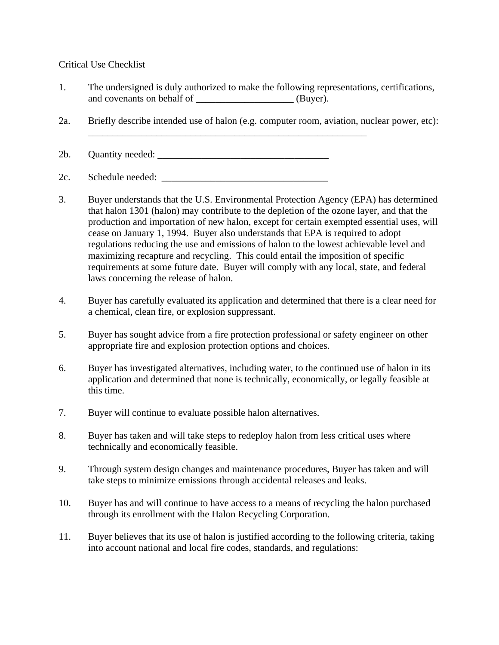## Critical Use Checklist

- 1. The undersigned is duly authorized to make the following representations, certifications, and covenants on behalf of \_\_\_\_\_\_\_\_\_\_\_\_\_\_\_\_\_\_\_\_ (Buyer).
- 2a. Briefly describe intended use of halon (e.g. computer room, aviation, nuclear power, etc):

2b. Quantity needed: \_\_\_\_\_\_\_\_\_\_\_\_\_\_\_\_\_\_\_\_\_\_\_\_\_\_\_\_\_\_\_\_\_\_\_

2c. Schedule needed:

- 3. Buyer understands that the U.S. Environmental Protection Agency (EPA) has determined that halon 1301 (halon) may contribute to the depletion of the ozone layer, and that the production and importation of new halon, except for certain exempted essential uses, will cease on January 1, 1994. Buyer also understands that EPA is required to adopt regulations reducing the use and emissions of halon to the lowest achievable level and maximizing recapture and recycling. This could entail the imposition of specific requirements at some future date. Buyer will comply with any local, state, and federal laws concerning the release of halon.
- 4. Buyer has carefully evaluated its application and determined that there is a clear need for a chemical, clean fire, or explosion suppressant.
- 5. Buyer has sought advice from a fire protection professional or safety engineer on other appropriate fire and explosion protection options and choices.
- 6. Buyer has investigated alternatives, including water, to the continued use of halon in its application and determined that none is technically, economically, or legally feasible at this time.
- 7. Buyer will continue to evaluate possible halon alternatives.
- 8. Buyer has taken and will take steps to redeploy halon from less critical uses where technically and economically feasible.
- 9. Through system design changes and maintenance procedures, Buyer has taken and will take steps to minimize emissions through accidental releases and leaks.
- 10. Buyer has and will continue to have access to a means of recycling the halon purchased through its enrollment with the Halon Recycling Corporation.
- 11. Buyer believes that its use of halon is justified according to the following criteria, taking into account national and local fire codes, standards, and regulations: